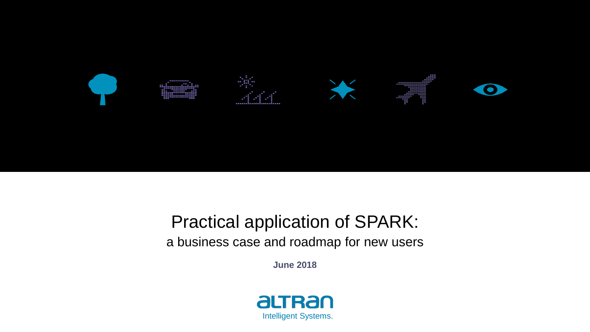

### Practical application of SPARK: a business case and roadmap for new users

**June 2018**

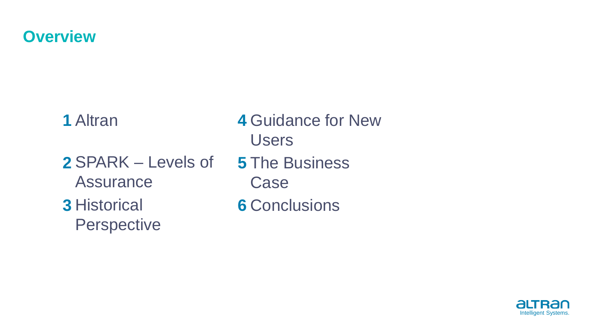#### **Overview**

**1** Altran **2** SPARK – Levels of **Assurance 3** Historical **Perspective** Users **5** The Business Case

**4** Guidance for New

**6** Conclusions

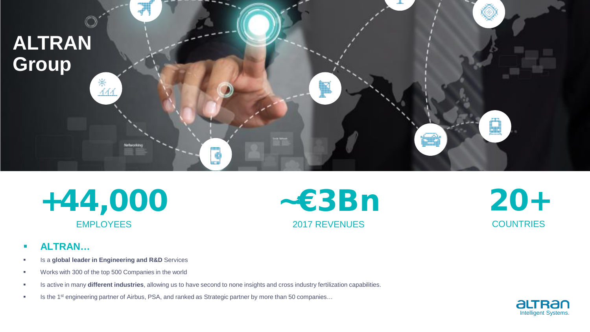

+44,000 EMPLOYEES

~€3Bn 2017 REVENUES

20+ **COUNTRIES** 

- **ALTRAN…**
- **IS a global leader in Engineering and R&D** Services
- **Works with 300 of the top 500 Companies in the world**
- Is active in many **different industries**, allowing us to have second to none insights and cross industry fertilization capabilities.
- Is the 1<sup>st</sup> engineering partner of Airbus, PSA, and ranked as Strategic partner by more than 50 companies...

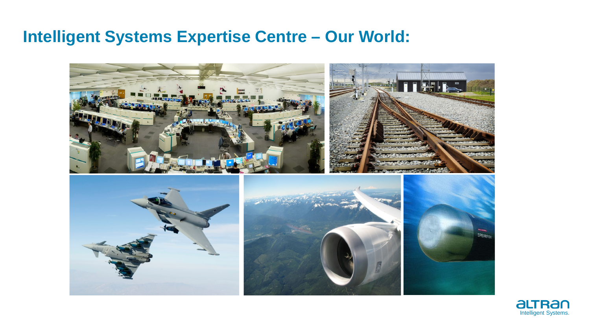#### **Intelligent Systems Expertise Centre – Our World:**



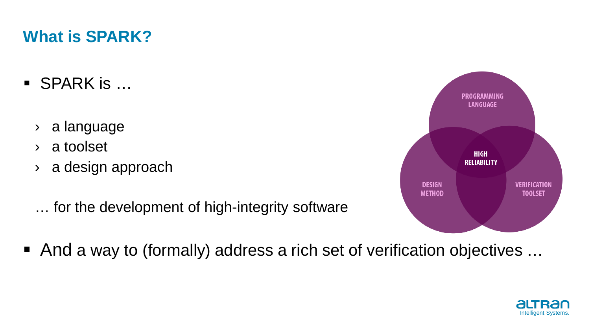## **What is SPARK?**

- $\blacksquare$  SPARK is  $\dots$ 
	- › a language
	- › a toolset
	- › a design approach
	- … for the development of high-integrity software



■ And a way to (formally) address a rich set of verification objectives ...

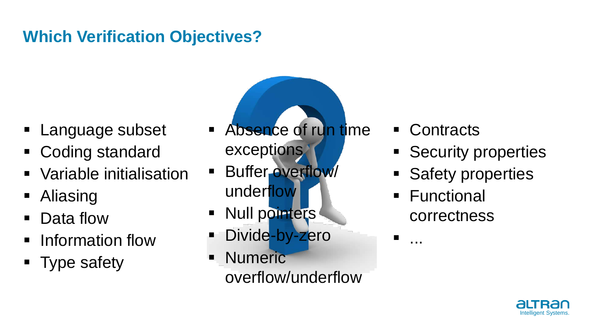# **Which Verification Objectives?**

- **Language subset**
- Coding standard
- Variable initialisation
- Aliasing
- Data flow
- **F** Information flow
- Type safety
- Absence of run time exceptions
- **Buffer overflow** underflow
- **Null pointers** Divide-by-zero
- **Numeric** overflow/underflow
- Contracts
- **Security properties**
- **Safety properties**
- Functional correctness

...

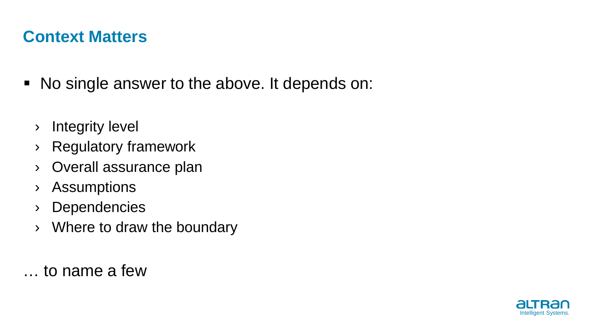### **Context Matters**

- No single answer to the above. It depends on:
	- › Integrity level
	- › Regulatory framework
	- › Overall assurance plan
	- › Assumptions
	- › Dependencies
	- $\rightarrow$  Where to draw the boundary

… to name a few

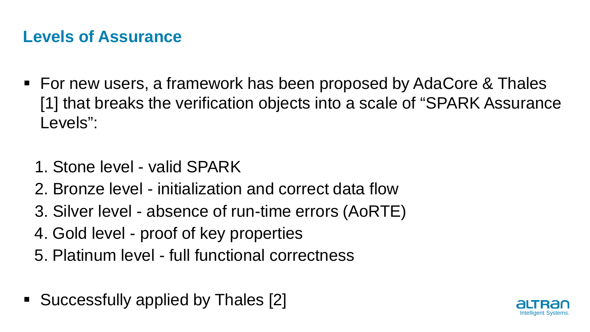### **Levels of Assurance**

- For new users, a framework has been proposed by AdaCore & Thales [1] that breaks the verification objects into a scale of "SPARK Assurance Levels":
	- 1. Stone level valid SPARK
	- 2. Bronze level initialization and correct data flow
	- 3. Silver level absence of run-time errors (AoRTE)
	- 4. Gold level proof of key properties
	- 5. Platinum level full functional correctness
- Successfully applied by Thales [2]

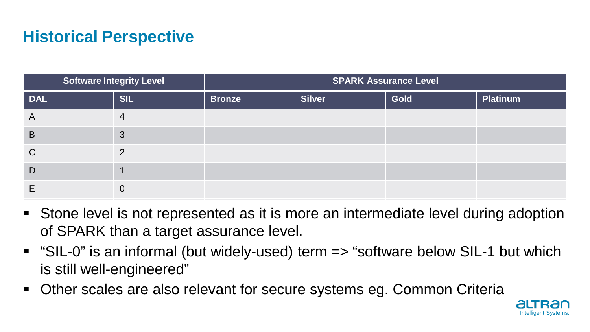# **Historical Perspective**

| <b>Software Integrity Level</b> |            | <b>SPARK Assurance Level</b> |               |             |          |
|---------------------------------|------------|------------------------------|---------------|-------------|----------|
| <b>DAL</b>                      | <b>SIL</b> | <b>Bronze</b>                | <b>Silver</b> | <b>Gold</b> | Platinum |
| A                               | 4          |                              |               |             |          |
| B                               | 3          |                              |               |             |          |
| C                               | ◠          |                              |               |             |          |
| D                               |            |                              |               |             |          |
|                                 | 0          |                              |               |             |          |

- Stone level is not represented as it is more an intermediate level during adoption of SPARK than a target assurance level.
- "SIL-0" is an informal (but widely-used) term => "software below SIL-1 but which is still well-engineered"
- Other scales are also relevant for secure systems eg. Common Criteria

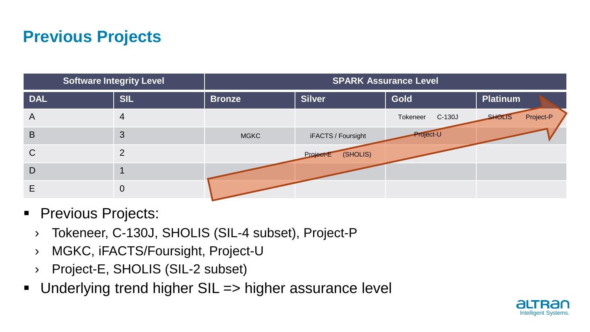### **Previous Projects**

| <b>Software Integrity Level</b> |            | <b>SPARK Assurance Level</b> |                       |                    |                            |  |
|---------------------------------|------------|------------------------------|-----------------------|--------------------|----------------------------|--|
| <b>DAL</b>                      | <b>SIL</b> | <b>Bronze</b>                | <b>Silver</b>         | Gold               | Platinum                   |  |
| A                               | 4          |                              |                       | Tokeneer<br>C-130J | Project-P<br><b>SHOLIS</b> |  |
| B                               | 3          | <b>MGKC</b>                  | iFACTS / Foursight    | Project-U          |                            |  |
| $\mathsf{C}$                    | C          |                              | (SHOLIS)<br>Project E |                    |                            |  |
| D                               |            |                              |                       |                    |                            |  |
| E                               | 0          |                              |                       |                    |                            |  |

- **Previous Projects:** 
	- › Tokeneer, C-130J, SHOLIS (SIL-4 subset), Project-P
	- › MGKC, iFACTS/Foursight, Project-U
	- › Project-E, SHOLIS (SIL-2 subset)
- Underlying trend higher SIL => higher assurance level

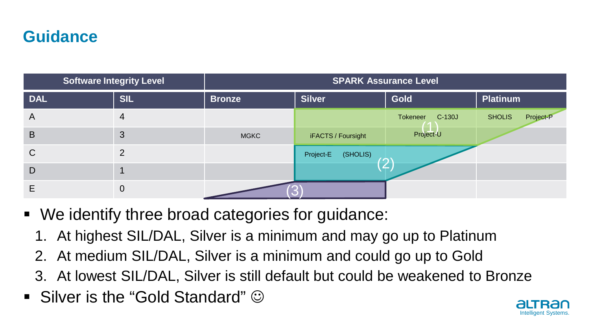### **Guidance**

| <b>Software Integrity Level</b> |               | <b>SPARK Assurance Level</b> |                                                      |                      |                            |  |
|---------------------------------|---------------|------------------------------|------------------------------------------------------|----------------------|----------------------------|--|
| <b>DAL</b>                      | <b>SIL</b>    | <b>Bronze</b>                | <b>Silver</b>                                        | <b>Gold</b>          | <b>Platinum</b>            |  |
| A                               | 4             |                              |                                                      | Tokeneer<br>$C-130J$ | Project-P<br><b>SHOLIS</b> |  |
| B                               | 3             | <b>MGKC</b>                  | iFACTS / Foursight                                   | Project-U            |                            |  |
| $\mathsf{C}$                    | $\mathcal{D}$ |                              | (SHOLIS)<br>Project-E<br>$\mathcal{O}^{\mathcal{C}}$ |                      |                            |  |
| D                               |               |                              |                                                      |                      |                            |  |
| E                               | 0             |                              |                                                      |                      |                            |  |

- We identify three broad categories for guidance:
	- 1. At highest SIL/DAL, Silver is a minimum and may go up to Platinum
	- 2. At medium SIL/DAL, Silver is a minimum and could go up to Gold
	- 3. At lowest SIL/DAL, Silver is still default but could be weakened to Bronze
- Silver is the "Gold Standard"  $\odot$

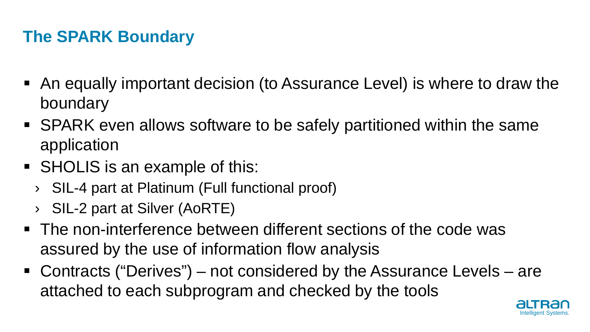# **The SPARK Boundary**

- An equally important decision (to Assurance Level) is where to draw the boundary
- SPARK even allows software to be safely partitioned within the same application
- SHOLIS is an example of this:
	- › SIL-4 part at Platinum (Full functional proof)
	- › SIL-2 part at Silver (AoRTE)
- The non-interference between different sections of the code was assured by the use of information flow analysis
- Contracts ("Derives") not considered by the Assurance Levels are attached to each subprogram and checked by the tools

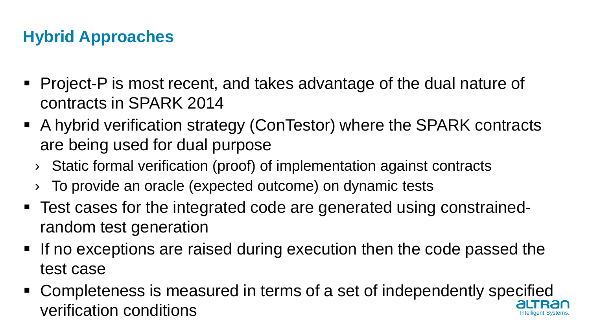### **Hybrid Approaches**

- Project-P is most recent, and takes advantage of the dual nature of contracts in SPARK 2014
- A hybrid verification strategy (ConTestor) where the SPARK contracts are being used for dual purpose
	- › Static formal verification (proof) of implementation against contracts
	- To provide an oracle (expected outcome) on dynamic tests
- Test cases for the integrated code are generated using constrainedrandom test generation
- If no exceptions are raised during execution then the code passed the test case
- Intelligent Systems. Completeness is measured in terms of a set of independently specified verification conditions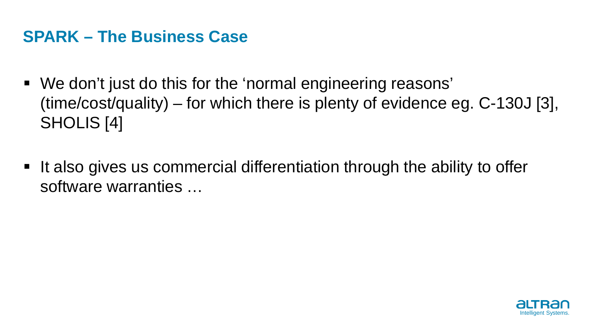#### **SPARK – The Business Case**

- We don't just do this for the 'normal engineering reasons' (time/cost/quality) – for which there is plenty of evidence eg. C-130J [3], SHOLIS [4]
- It also gives us commercial differentiation through the ability to offer software warranties …

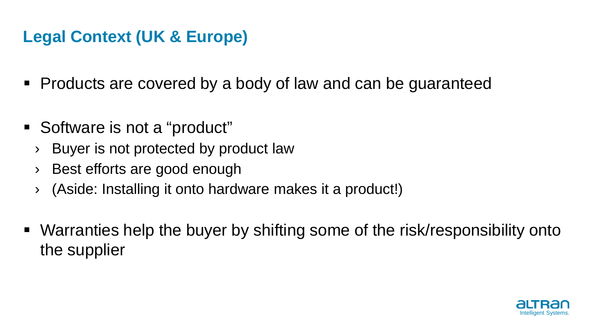### **Legal Context (UK & Europe)**

- Products are covered by a body of law and can be guaranteed
- Software is not a "product"
	- › Buyer is not protected by product law
	- › Best efforts are good enough
	- › (Aside: Installing it onto hardware makes it a product!)
- Warranties help the buyer by shifting some of the risk/responsibility onto the supplier

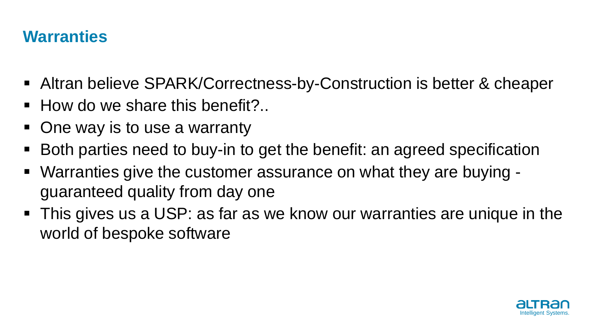### **Warranties**

- Altran believe SPARK/Correctness-by-Construction is better & cheaper
- $\blacksquare$  How do we share this benefit?..
- One way is to use a warranty
- Both parties need to buy-in to get the benefit: an agreed specification
- Warranties give the customer assurance on what they are buying guaranteed quality from day one
- This gives us a USP: as far as we know our warranties are unique in the world of bespoke software

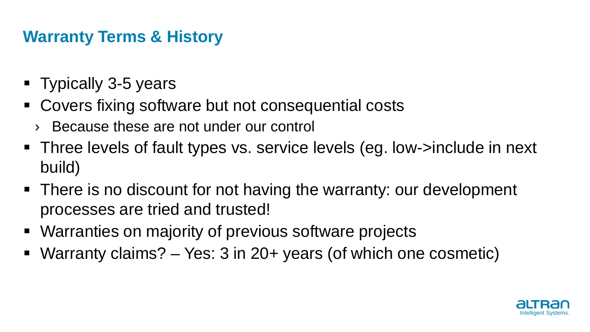### **Warranty Terms & History**

- Typically 3-5 years
- Covers fixing software but not consequential costs
	- › Because these are not under our control
- Three levels of fault types vs. service levels (eg. low->include in next build)
- There is no discount for not having the warranty: our development processes are tried and trusted!
- Warranties on majority of previous software projects
- Warranty claims? Yes: 3 in 20+ years (of which one cosmetic)

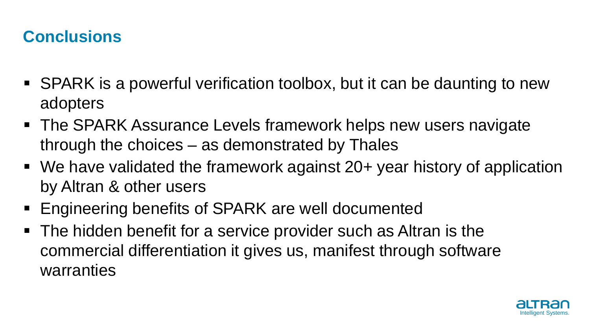### **Conclusions**

- SPARK is a powerful verification toolbox, but it can be daunting to new adopters
- The SPARK Assurance Levels framework helps new users navigate through the choices – as demonstrated by Thales
- We have validated the framework against 20+ year history of application by Altran & other users
- **Engineering benefits of SPARK are well documented**
- The hidden benefit for a service provider such as Altran is the commercial differentiation it gives us, manifest through software warranties

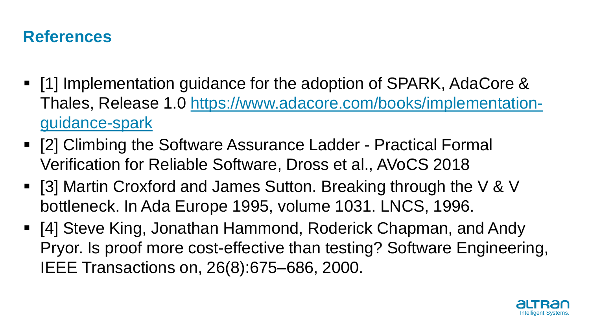### **References**

- **-** [1] Implementation guidance for the adoption of SPARK, AdaCore & Thales, Release 1.0 [https://www.adacore.com/books/implementation](https://www.adacore.com/books/implementation-guidance-spark)[guidance-spark](https://www.adacore.com/books/implementation-guidance-spark)
- [2] Climbing the Software Assurance Ladder Practical Formal Verification for Reliable Software, Dross et al., AVoCS 2018
- [3] Martin Croxford and James Sutton. Breaking through the V & V bottleneck. In Ada Europe 1995, volume 1031. LNCS, 1996.
- [4] Steve King, Jonathan Hammond, Roderick Chapman, and Andy Pryor. Is proof more cost-effective than testing? Software Engineering, IEEE Transactions on, 26(8):675–686, 2000.